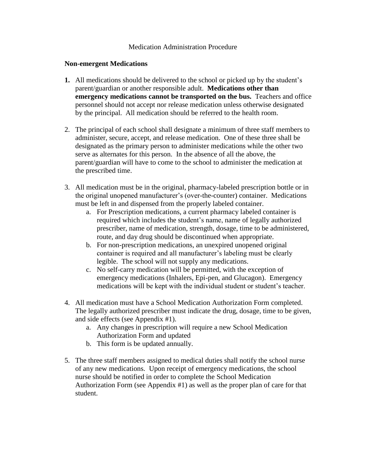## Medication Administration Procedure

## **Non-emergent Medications**

- **1.** All medications should be delivered to the school or picked up by the student's parent/guardian or another responsible adult. **Medications other than emergency medications cannot be transported on the bus.** Teachers and office personnel should not accept nor release medication unless otherwise designated by the principal. All medication should be referred to the health room.
- 2. The principal of each school shall designate a minimum of three staff members to administer, secure, accept, and release medication. One of these three shall be designated as the primary person to administer medications while the other two serve as alternates for this person. In the absence of all the above, the parent/guardian will have to come to the school to administer the medication at the prescribed time.
- 3. All medication must be in the original, pharmacy-labeled prescription bottle or in the original unopened manufacturer's (over-the-counter) container. Medications must be left in and dispensed from the properly labeled container.
	- a. For Prescription medications, a current pharmacy labeled container is required which includes the student's name, name of legally authorized prescriber, name of medication, strength, dosage, time to be administered, route, and day drug should be discontinued when appropriate.
	- b. For non-prescription medications, an unexpired unopened original container is required and all manufacturer's labeling must be clearly legible. The school will not supply any medications.
	- c. No self-carry medication will be permitted, with the exception of emergency medications (Inhalers, Epi-pen, and Glucagon). Emergency medications will be kept with the individual student or student's teacher.
- 4. All medication must have a School Medication Authorization Form completed. The legally authorized prescriber must indicate the drug, dosage, time to be given, and side effects (see Appendix #1).
	- a. Any changes in prescription will require a new School Medication Authorization Form and updated
	- b. This form is be updated annually.
- 5. The three staff members assigned to medical duties shall notify the school nurse of any new medications. Upon receipt of emergency medications, the school nurse should be notified in order to complete the School Medication Authorization Form (see Appendix #1) as well as the proper plan of care for that student.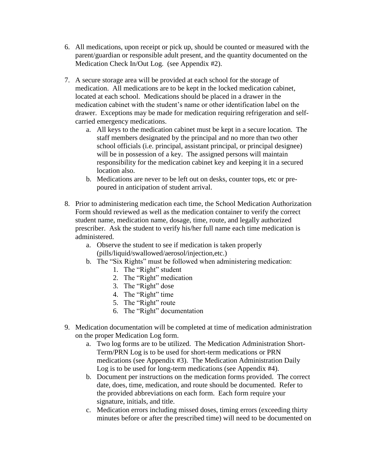- 6. All medications, upon receipt or pick up, should be counted or measured with the parent/guardian or responsible adult present, and the quantity documented on the Medication Check In/Out Log. (see Appendix #2).
- 7. A secure storage area will be provided at each school for the storage of medication. All medications are to be kept in the locked medication cabinet, located at each school. Medications should be placed in a drawer in the medication cabinet with the student's name or other identification label on the drawer. Exceptions may be made for medication requiring refrigeration and selfcarried emergency medications.
	- a. All keys to the medication cabinet must be kept in a secure location. The staff members designated by the principal and no more than two other school officials (i.e. principal, assistant principal, or principal designee) will be in possession of a key. The assigned persons will maintain responsibility for the medication cabinet key and keeping it in a secured location also.
	- b. Medications are never to be left out on desks, counter tops, etc or prepoured in anticipation of student arrival.
- 8. Prior to administering medication each time, the School Medication Authorization Form should reviewed as well as the medication container to verify the correct student name, medication name, dosage, time, route, and legally authorized prescriber. Ask the student to verify his/her full name each time medication is administered.
	- a. Observe the student to see if medication is taken properly (pills/liquid/swallowed/aerosol/injection,etc.)
	- b. The "Six Rights" must be followed when administering medication:
		- 1. The "Right" student
		- 2. The "Right" medication
		- 3. The "Right" dose
		- 4. The "Right" time
		- 5. The "Right" route
		- 6. The "Right" documentation
- 9. Medication documentation will be completed at time of medication administration on the proper Medication Log form.
	- a. Two log forms are to be utilized. The Medication Administration Short-Term/PRN Log is to be used for short-term medications or PRN medications (see Appendix #3). The Medication Administration Daily Log is to be used for long-term medications (see Appendix #4).
	- b. Document per instructions on the medication forms provided. The correct date, does, time, medication, and route should be documented. Refer to the provided abbreviations on each form. Each form require your signature, initials, and title.
	- c. Medication errors including missed doses, timing errors (exceeding thirty minutes before or after the prescribed time) will need to be documented on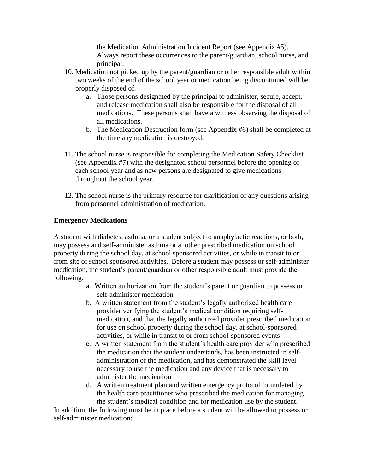the Medication Administration Incident Report (see Appendix #5). Always report these occurrences to the parent/guardian, school nurse, and principal.

- 10. Medication not picked up by the parent/guardian or other responsible adult within two weeks of the end of the school year or medication being discontinued will be properly disposed of.
	- a. Those persons designated by the principal to administer, secure, accept, and release medication shall also be responsible for the disposal of all medications. These persons shall have a witness observing the disposal of all medications.
	- b. The Medication Destruction form (see Appendix #6) shall be completed at the time any medication is destroyed.
- 11. The school nurse is responsible for completing the Medication Safety Checklist (see Appendix #7) with the designated school personnel before the opening of each school year and as new persons are designated to give medications throughout the school year.
- 12. The school nurse is the primary resource for clarification of any questions arising from personnel administration of medication.

## **Emergency Medications**

A student with diabetes, asthma, or a student subject to anaphylactic reactions, or both, may possess and self-administer asthma or another prescribed medication on school property during the school day, at school sponsored activities, or while in transit to or from site of school sponsored activities. Before a student may possess or self-administer medication, the student's parent/guardian or other responsible adult must provide the following:

- a. Written authorization from the student's parent or guardian to possess or self-administer medication
- b. A written statement from the student's legally authorized health care provider verifying the student's medical condition requiring selfmedication, and that the legally authorized provider prescribed medication for use on school property during the school day, at school-sponsored activities, or while in transit to or from school-sponsored events
- c. A written statement from the student's health care provider who prescribed the medication that the student understands, has been instructed in selfadministration of the medication, and has demonstrated the skill level necessary to use the medication and any device that is necessary to administer the medication
- d. A written treatment plan and written emergency protocol formulated by the health care practitioner who prescribed the medication for managing the student's medical condition and for medication use by the student.

In addition, the following must be in place before a student will be allowed to possess or self-administer medication: